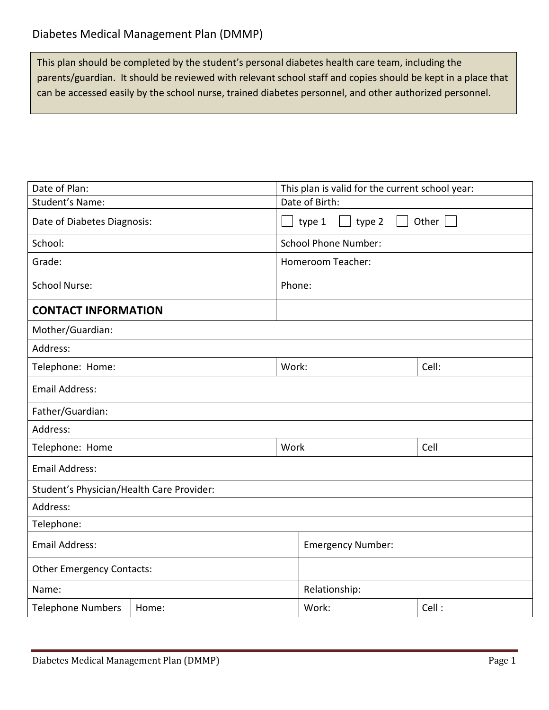This plan should be completed by the student's personal diabetes health care team, including the parents/guardian. It should be reviewed with relevant school staff and copies should be kept in a place that can be accessed easily by the school nurse, trained diabetes personnel, and other authorized personnel.

| Date of Plan:                             |                                                           | This plan is valid for the current school year: |                             |       |
|-------------------------------------------|-----------------------------------------------------------|-------------------------------------------------|-----------------------------|-------|
| Student's Name:                           |                                                           | Date of Birth:                                  |                             |       |
| Date of Diabetes Diagnosis:               | Other $\boxed{\phantom{a}}$<br>type 1<br>type 2<br>a sa T |                                                 |                             |       |
| School:                                   |                                                           |                                                 | <b>School Phone Number:</b> |       |
| Grade:                                    | <b>Homeroom Teacher:</b>                                  |                                                 |                             |       |
| <b>School Nurse:</b>                      |                                                           |                                                 | Phone:                      |       |
| <b>CONTACT INFORMATION</b>                |                                                           |                                                 |                             |       |
| Mother/Guardian:                          |                                                           |                                                 |                             |       |
| Address:                                  |                                                           |                                                 |                             |       |
| Telephone: Home:                          |                                                           | Work:                                           |                             | Cell: |
| <b>Email Address:</b>                     |                                                           |                                                 |                             |       |
| Father/Guardian:                          |                                                           |                                                 |                             |       |
| Address:                                  |                                                           |                                                 |                             |       |
| Telephone: Home                           |                                                           | Work                                            |                             | Cell  |
| <b>Email Address:</b>                     |                                                           |                                                 |                             |       |
| Student's Physician/Health Care Provider: |                                                           |                                                 |                             |       |
| Address:                                  |                                                           |                                                 |                             |       |
| Telephone:                                |                                                           |                                                 |                             |       |
| <b>Email Address:</b>                     |                                                           | <b>Emergency Number:</b>                        |                             |       |
| <b>Other Emergency Contacts:</b>          |                                                           |                                                 |                             |       |
| Name:                                     |                                                           | Relationship:                                   |                             |       |
| <b>Telephone Numbers</b>                  | Home:                                                     |                                                 | Work:                       | Cell: |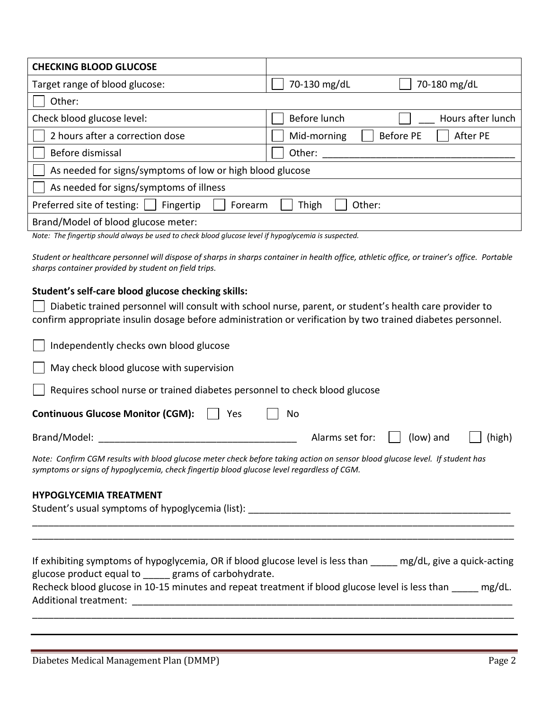| <b>CHECKING BLOOD GLUCOSE</b>                                         |                                             |  |  |
|-----------------------------------------------------------------------|---------------------------------------------|--|--|
| Target range of blood glucose:                                        | 70-130 mg/dL<br>70-180 mg/dL                |  |  |
| Other:                                                                |                                             |  |  |
| Check blood glucose level:                                            | Before lunch<br>Hours after lunch           |  |  |
| 2 hours after a correction dose                                       | <b>Before PE</b><br>After PE<br>Mid-morning |  |  |
| Before dismissal                                                      | Other:                                      |  |  |
| As needed for signs/symptoms of low or high blood glucose             |                                             |  |  |
| As needed for signs/symptoms of illness                               |                                             |  |  |
| Preferred site of testing:<br>Thigh<br>Other:<br>Fingertip<br>Forearm |                                             |  |  |
| Brand/Model of blood glucose meter:                                   |                                             |  |  |

*Note: The fingertip should always be used to check blood glucose level if hypoglycemia is suspected.*

*Student or healthcare personnel will dispose of sharps in sharps container in health office, athletic office, or trainer's office. Portable sharps container provided by student on field trips.*

### **Student's self-care blood glucose checking skills:**

 $\Box$  Diabetic trained personnel will consult with school nurse, parent, or student's health care provider to confirm appropriate insulin dosage before administration or verification by two trained diabetes personnel.

| Independently checks own blood glucose                                                                                                                                                                                   |                 |           |        |
|--------------------------------------------------------------------------------------------------------------------------------------------------------------------------------------------------------------------------|-----------------|-----------|--------|
| May check blood glucose with supervision                                                                                                                                                                                 |                 |           |        |
| Requires school nurse or trained diabetes personnel to check blood glucose                                                                                                                                               |                 |           |        |
| <b>Continuous Glucose Monitor (CGM):</b><br>Yes<br>No                                                                                                                                                                    |                 |           |        |
| Brand/Model:                                                                                                                                                                                                             | Alarms set for: | (low) and | (high) |
| Note: Confirm CGM results with blood glucose meter check before taking action on sensor blood glucose level. If student has<br>symptoms or signs of hypoglycemia, check fingertip blood glucose level regardless of CGM. |                 |           |        |
| <b>HYPOGLYCEMIA TREATMENT</b>                                                                                                                                                                                            |                 |           |        |

## Student's usual symptoms of hypoglycemia (list): \_\_\_\_\_\_\_\_\_\_\_\_\_\_\_\_\_\_\_\_\_\_\_\_\_\_\_\_\_\_\_ \_\_\_\_\_\_\_\_\_\_\_\_\_\_\_\_\_\_\_\_\_\_\_\_\_\_\_\_\_\_\_\_\_\_\_\_\_\_\_\_\_\_\_\_\_\_\_\_\_\_\_\_\_\_\_\_\_\_\_\_\_\_\_\_\_\_\_\_\_\_\_\_\_\_\_\_\_\_\_\_\_\_\_\_\_\_\_\_\_\_ \_\_\_\_\_\_\_\_\_\_\_\_\_\_\_\_\_\_\_\_\_\_\_\_\_\_\_\_\_\_\_\_\_\_\_\_\_\_\_\_\_\_\_\_\_\_\_\_\_\_\_\_\_\_\_\_\_\_\_\_\_\_\_\_\_\_\_\_\_\_\_\_\_\_\_\_\_\_\_\_\_\_\_\_\_\_\_\_\_\_

If exhibiting symptoms of hypoglycemia, OR if blood glucose level is less than \_\_\_\_\_ mg/dL, give a quick-acting glucose product equal to \_\_\_\_\_ grams of carbohydrate. Recheck blood glucose in 10-15 minutes and repeat treatment if blood glucose level is less than mg/dL. Additional treatment: \_\_\_\_\_\_\_\_\_\_\_\_\_\_\_\_\_\_\_\_\_\_\_\_\_\_\_\_\_\_\_\_\_\_\_\_\_\_\_\_\_\_\_\_\_\_\_\_\_\_\_\_\_\_\_\_\_\_\_\_\_\_\_\_\_\_\_\_\_\_\_

\_\_\_\_\_\_\_\_\_\_\_\_\_\_\_\_\_\_\_\_\_\_\_\_\_\_\_\_\_\_\_\_\_\_\_\_\_\_\_\_\_\_\_\_\_\_\_\_\_\_\_\_\_\_\_\_\_\_\_\_\_\_\_\_\_\_\_\_\_\_\_\_\_\_\_\_\_\_\_\_\_\_\_\_\_\_\_\_\_\_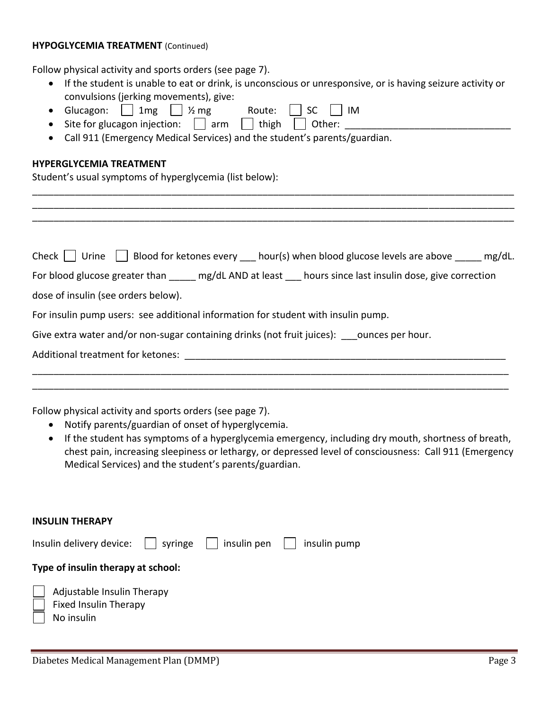#### **HYPOGLYCEMIA TREATMENT** (Continued)

Follow physical activity and sports orders (see page 7).

- If the student is unable to eat or drink, is unconscious or unresponsive, or is having seizure activity or convulsions (jerking movements), give:
- Glucagon:  $1 \mid 1$ mg  $1 \mid \frac{1}{2}$ mg Route:  $1 \mid SC \mid IM$
- Site for glucagon injection:  $\Box$  arm  $\Box$  thigh  $\Box$  Other:
- Call 911 (Emergency Medical Services) and the student's parents/guardian.

### **HYPERGLYCEMIA TREATMENT**

Student's usual symptoms of hyperglycemia (list below):

| Check $\vert$ $\vert$ Urine $\vert$ $\vert$ Blood for ketones every hour(s) when blood glucose levels are above _____ mg/dL. |  |  |  |  |
|------------------------------------------------------------------------------------------------------------------------------|--|--|--|--|
| For blood glucose greater than mg/dL AND at least hours since last insulin dose, give correction                             |  |  |  |  |
| dose of insulin (see orders below).                                                                                          |  |  |  |  |
| For insulin pump users: see additional information for student with insulin pump.                                            |  |  |  |  |
| Give extra water and/or non-sugar containing drinks (not fruit juices): ounces per hour.                                     |  |  |  |  |
| Additional treatment for ketones:                                                                                            |  |  |  |  |
|                                                                                                                              |  |  |  |  |

\_\_\_\_\_\_\_\_\_\_\_\_\_\_\_\_\_\_\_\_\_\_\_\_\_\_\_\_\_\_\_\_\_\_\_\_\_\_\_\_\_\_\_\_\_\_\_\_\_\_\_\_\_\_\_\_\_\_\_\_\_\_\_\_\_\_\_\_\_\_\_\_\_\_\_\_\_\_\_\_\_\_\_\_\_\_\_\_\_

\_\_\_\_\_\_\_\_\_\_\_\_\_\_\_\_\_\_\_\_\_\_\_\_\_\_\_\_\_\_\_\_\_\_\_\_\_\_\_\_\_\_\_\_\_\_\_\_\_\_\_\_\_\_\_\_\_\_\_\_\_\_\_\_\_\_\_\_\_\_\_\_\_\_\_\_\_\_\_\_\_\_\_\_\_\_\_\_\_\_ \_\_\_\_\_\_\_\_\_\_\_\_\_\_\_\_\_\_\_\_\_\_\_\_\_\_\_\_\_\_\_\_\_\_\_\_\_\_\_\_\_\_\_\_\_\_\_\_\_\_\_\_\_\_\_\_\_\_\_\_\_\_\_\_\_\_\_\_\_\_\_\_\_\_\_\_\_\_\_\_\_\_\_\_\_\_\_\_\_\_ \_\_\_\_\_\_\_\_\_\_\_\_\_\_\_\_\_\_\_\_\_\_\_\_\_\_\_\_\_\_\_\_\_\_\_\_\_\_\_\_\_\_\_\_\_\_\_\_\_\_\_\_\_\_\_\_\_\_\_\_\_\_\_\_\_\_\_\_\_\_\_\_\_\_\_\_\_\_\_\_\_\_\_\_\_\_\_\_\_\_

Follow physical activity and sports orders (see page 7).

- Notify parents/guardian of onset of hyperglycemia.
- If the student has symptoms of a hyperglycemia emergency, including dry mouth, shortness of breath, chest pain, increasing sleepiness or lethargy, or depressed level of consciousness: Call 911 (Emergency Medical Services) and the student's parents/guardian.

#### **INSULIN THERAPY**

| Insulin delivery device: $\begin{array}{ c c c c c } \hline \end{array}$ insulin pen $\begin{array}{ c c c c c c } \hline \end{array}$ insulin pump |  |  |
|-----------------------------------------------------------------------------------------------------------------------------------------------------|--|--|
| Type of insulin therapy at school:                                                                                                                  |  |  |
| Adjustable Insulin Therapy<br>$\mathbf{I}$                                                                                                          |  |  |
| <b>Fixed Insulin Therapy</b>                                                                                                                        |  |  |
| No insulin                                                                                                                                          |  |  |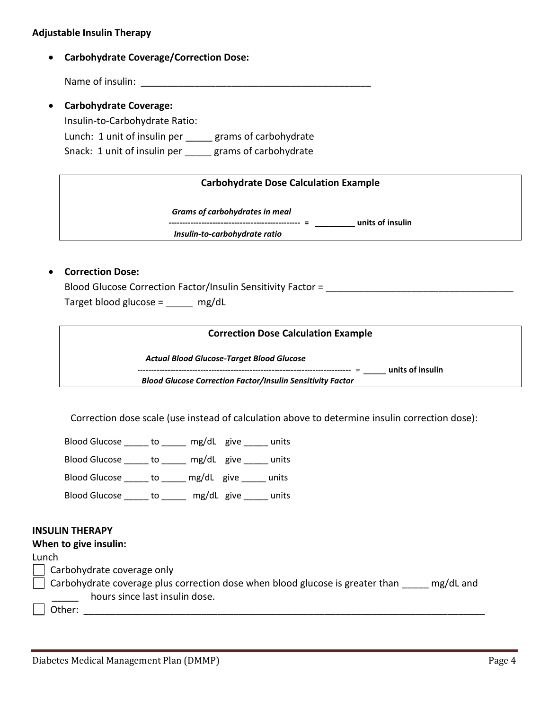### **Adjustable Insulin Therapy**

**Carbohydrate Coverage/Correction Dose:**

Name of insulin:  $\blacksquare$ 

 **Carbohydrate Coverage:** Insulin-to-Carbohydrate Ratio: Lunch: 1 unit of insulin per \_\_\_\_\_ grams of carbohydrate Snack: 1 unit of insulin per \_\_\_\_\_ grams of carbohydrate

### **Carbohydrate Dose Calculation Example**

*Grams of carbohydrates in meal*

**------------------------------------------------ = \_\_\_\_\_\_\_\_\_ units of insulin**

*Insulin-to-carbohydrate ratio* 

### **Correction Dose:**

Blood Glucose Correction Factor/Insulin Sensitivity Factor = Target blood glucose = \_\_\_\_\_ mg/dL

#### **Correction Dose Calculation Example**

 *Actual Blood Glucose-Target Blood Glucose*

*------------------------------------------------------------------------------ = \_\_\_\_\_* **units of insulin**

 *Blood Glucose Correction Factor/Insulin Sensitivity Factor* 

Correction dose scale (use instead of calculation above to determine insulin correction dose):

Blood Glucose to \_\_\_\_ mg/dL give \_\_\_\_ units Blood Glucose to \_\_\_\_ mg/dL give \_\_\_\_ units Blood Glucose \_\_\_\_\_ to \_\_\_\_\_ mg/dL give \_\_\_\_\_ units Blood Glucose \_\_\_\_\_ to \_\_\_\_\_ mg/dL give \_\_\_\_\_ units

#### **INSULIN THERAPY**

#### **When to give insulin:**

#### Lunch

Carbohydrate coverage only

 $\Box$  Carbohydrate coverage plus correction dose when blood glucose is greater than  $\Box$  mg/dL and hours since last insulin dose.

 $\Box$  Other: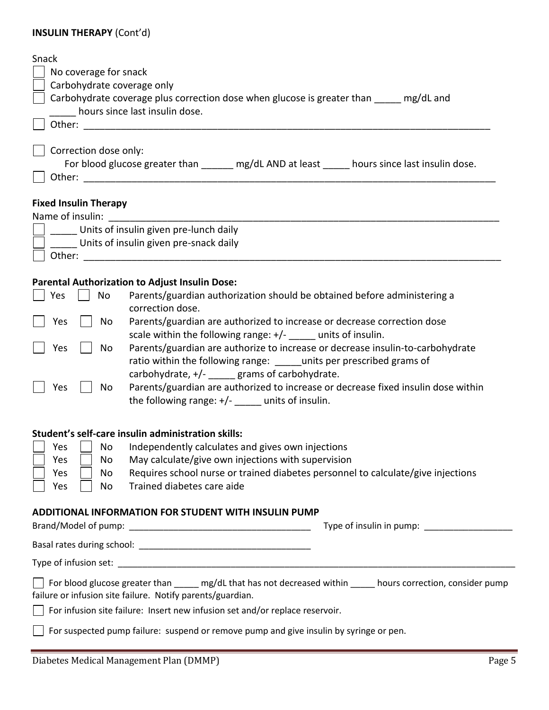## **INSULIN THERAPY** (Cont'd)

| <b>INJULIIV I HENAPT (COIIL U)</b>                                                                                                                                                                  |
|-----------------------------------------------------------------------------------------------------------------------------------------------------------------------------------------------------|
| Snack<br>No coverage for snack<br>Carbohydrate coverage only<br>Carbohydrate coverage plus correction dose when glucose is greater than _____ mg/dL and<br>hours since last insulin dose.           |
|                                                                                                                                                                                                     |
| Correction dose only:<br>For blood glucose greater than ______ mg/dL AND at least _____ hours since last insulin dose.                                                                              |
| <b>Fixed Insulin Therapy</b><br>Name of insulin:                                                                                                                                                    |
| Units of insulin given pre-lunch daily                                                                                                                                                              |
| Units of insulin given pre-snack daily                                                                                                                                                              |
|                                                                                                                                                                                                     |
| <b>Parental Authorization to Adjust Insulin Dose:</b>                                                                                                                                               |
| Parents/guardian authorization should be obtained before administering a<br>Yes<br>No<br>correction dose.                                                                                           |
| Parents/guardian are authorized to increase or decrease correction dose<br>Yes<br>No<br>scale within the following range: $+/-$ _____ units of insulin.                                             |
| Parents/guardian are authorize to increase or decrease insulin-to-carbohydrate<br>No<br>Yes<br>ratio within the following range: ______ units per prescribed grams of                               |
| carbohydrate, $+/-$ grams of carbohydrate.<br>Parents/guardian are authorized to increase or decrease fixed insulin dose within<br>No<br>Yes<br>the following range: $+/-$ ______ units of insulin. |
| Student's self-care insulin administration skills:                                                                                                                                                  |
| Independently calculates and gives own injections<br>Yes<br>No                                                                                                                                      |
| May calculate/give own injections with supervision<br>Yes<br>No                                                                                                                                     |
| Requires school nurse or trained diabetes personnel to calculate/give injections<br>Yes<br>No<br>Trained diabetes care aide                                                                         |
| Yes<br>No                                                                                                                                                                                           |
| <b>ADDITIONAL INFORMATION FOR STUDENT WITH INSULIN PUMP</b><br>Type of insulin in pump:                                                                                                             |
|                                                                                                                                                                                                     |
|                                                                                                                                                                                                     |
| For blood glucose greater than _____ mg/dL that has not decreased within _____ hours correction, consider pump<br>failure or infusion site failure. Notify parents/guardian.                        |

For infusion site failure: Insert new infusion set and/or replace reservoir.

For suspected pump failure: suspend or remove pump and give insulin by syringe or pen.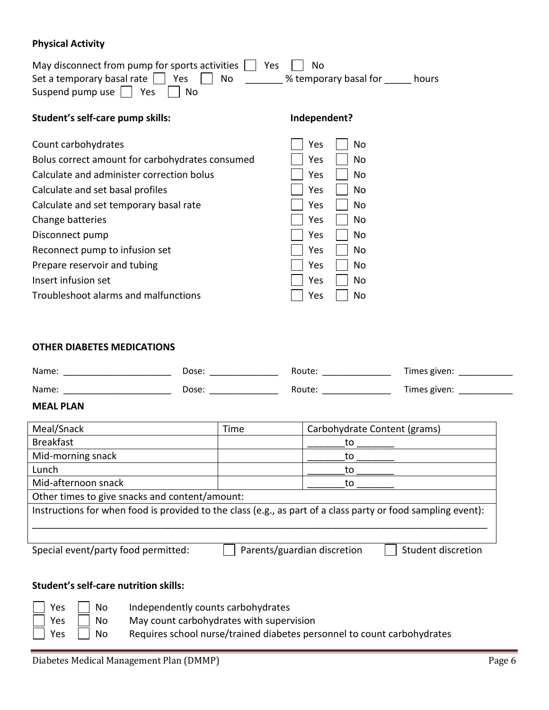## **Physical Activity**

| May disconnect from pump for sports activities<br>Set a temporary basal rate<br>No<br>Yes<br>Suspend pump use<br>Yes<br>No | Yes<br>No<br>% temporary basal for<br>hours |
|----------------------------------------------------------------------------------------------------------------------------|---------------------------------------------|
| Student's self-care pump skills:                                                                                           | Independent?                                |
| Count carbohydrates                                                                                                        | Yes<br>No                                   |
| Bolus correct amount for carbohydrates consumed                                                                            | Yes<br>No                                   |
| Calculate and administer correction bolus                                                                                  | Yes<br>No                                   |
| Calculate and set basal profiles                                                                                           | Yes<br>No                                   |
| Calculate and set temporary basal rate                                                                                     | Yes<br>No                                   |
| Change batteries                                                                                                           | Yes<br>No                                   |
| Disconnect pump                                                                                                            | Yes<br>No                                   |
| Reconnect pump to infusion set                                                                                             | No<br>Yes                                   |
| Prepare reservoir and tubing                                                                                               | Yes<br>No                                   |
| Insert infusion set                                                                                                        | Yes<br>No                                   |
| Troubleshoot alarms and malfunctions                                                                                       | No<br>Yes                                   |

## **OTHER DIABETES MEDICATIONS**

| Name: | Dose: | Route | Times given: |
|-------|-------|-------|--------------|
| Name: | Dose: | Route | Times given: |

### **MEAL PLAN**

| Meal/Snack                                                                                                   | Time                        | Carbohydrate Content (grams) |  |
|--------------------------------------------------------------------------------------------------------------|-----------------------------|------------------------------|--|
| <b>Breakfast</b>                                                                                             |                             | to                           |  |
| Mid-morning snack                                                                                            |                             | tΩ                           |  |
| Lunch                                                                                                        |                             | tΩ                           |  |
| Mid-afternoon snack                                                                                          |                             | tΩ                           |  |
| Other times to give snacks and content/amount:                                                               |                             |                              |  |
| Instructions for when food is provided to the class (e.g., as part of a class party or food sampling event): |                             |                              |  |
|                                                                                                              |                             |                              |  |
| Special event/party food permitted:                                                                          | Parents/guardian discretion | Student discretion           |  |

## **Student's self-care nutrition skills:**

| Yes     No           |    | Independently counts carbohydrates                                      |
|----------------------|----|-------------------------------------------------------------------------|
| $\vert$   Yes     No |    | May count carbohydrates with supervision                                |
| $\vert$   Yes        | No | Requires school nurse/trained diabetes personnel to count carbohydrates |